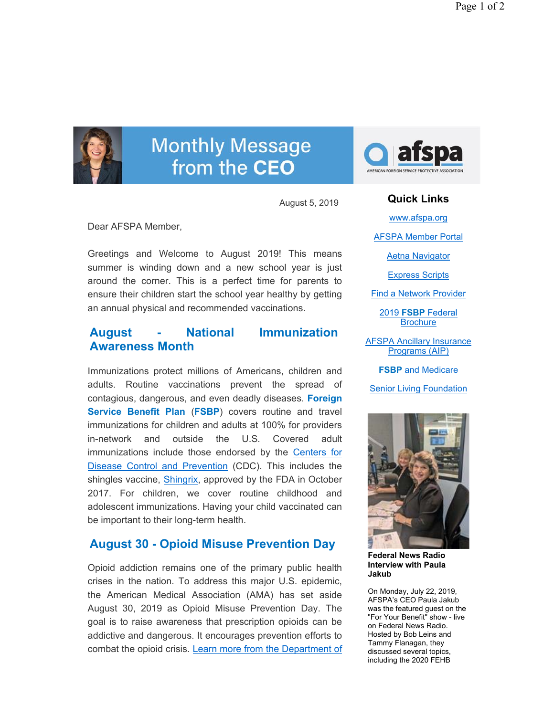

# **Monthly Message** from the CEO

August 5, 2019

Dear AFSPA Member,

Greetings and Welcome to August 2019! This means summer is winding down and a new school year is just around the corner. This is a perfect time for parents to ensure their children start the school year healthy by getting an annual physical and recommended vaccinations.

## **August - National Immunization Awareness Month**

Immunizations protect millions of Americans, children and adults. Routine vaccinations prevent the spread of contagious, dangerous, and even deadly diseases. **Foreign Service Benefit Plan** (**FSBP**) covers routine and travel immunizations for children and adults at 100% for providers in-network and outside the U.S. Covered adult immunizations include those endorsed by the Centers for Disease Control and Prevention (CDC). This includes the shingles vaccine, Shingrix, approved by the FDA in October 2017. For children, we cover routine childhood and adolescent immunizations. Having your child vaccinated can be important to their long-term health.

# **August 30 - Opioid Misuse Prevention Day**

Opioid addiction remains one of the primary public health crises in the nation. To address this major U.S. epidemic, the American Medical Association (AMA) has set aside August 30, 2019 as Opioid Misuse Prevention Day. The goal is to raise awareness that prescription opioids can be addictive and dangerous. It encourages prevention efforts to combat the opioid crisis. Learn more from the Department of



**Quick Links** www.afspa.org AFSPA Member Portal Aetna Navigator Express Scripts Find a Network Provider 2019 **FSBP** Federal **Brochure** AFSPA Ancillary Insurance Programs (AIP) **FSBP** and Medicare Senior Living Foundation



**Federal News Radio Interview with Paula Jakub**

On Monday, July 22, 2019, AFSPA's CEO Paula Jakub was the featured guest on the "For Your Benefit" show - live on Federal News Radio. Hosted by Bob Leins and Tammy Flanagan, they discussed several topics, including the 2020 FEHB